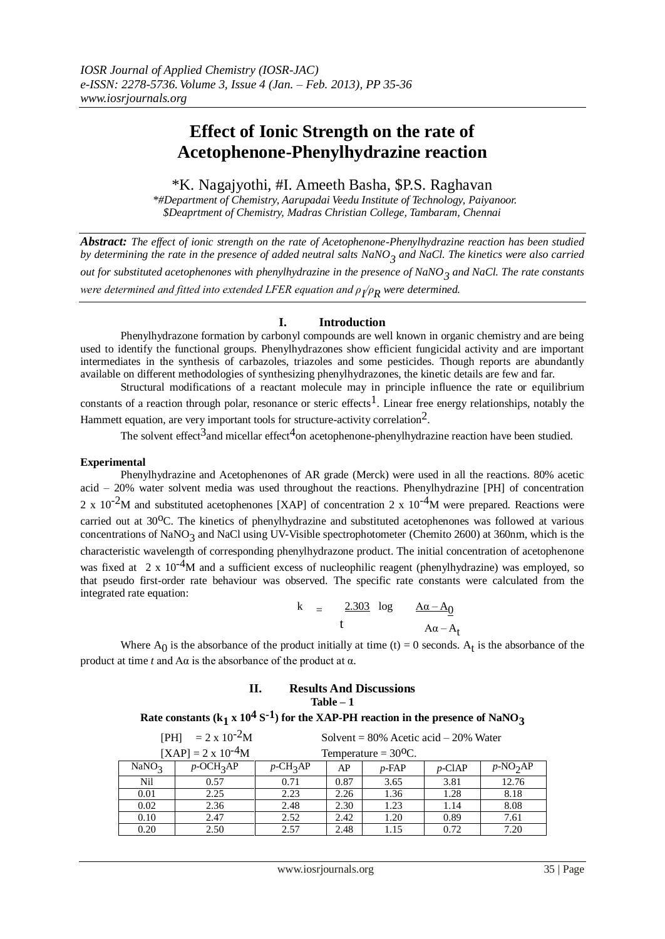# **Effect of Ionic Strength on the rate of Acetophenone-Phenylhydrazine reaction**

## \*K. Nagajyothi, #I. Ameeth Basha, \$P.S. Raghavan

*\*#Department of Chemistry, Aarupadai Veedu Institute of Technology, Paiyanoor. \$Deaprtment of Chemistry, Madras Christian College, Tambaram, Chennai* 

*Abstract: The effect of ionic strength on the rate of Acetophenone-Phenylhydrazine reaction has been studied by determining the rate in the presence of added neutral salts NaNO<sub>3</sub> and NaCl. The kinetics were also carried out for substituted acetophenones with phenylhydrazine in the presence of NaNO<sub>3</sub> and NaCl. The rate constants* were determined and fitted into extended LFER equation and  $\rho_f/\rho_R$  were determined.

## **I. Introduction**

Phenylhydrazone formation by carbonyl compounds are well known in organic chemistry and are being used to identify the functional groups. Phenylhydrazones show efficient fungicidal activity and are important intermediates in the synthesis of carbazoles, triazoles and some pesticides. Though reports are abundantly available on different methodologies of synthesizing phenylhydrazones, the kinetic details are few and far.

Structural modifications of a reactant molecule may in principle influence the rate or equilibrium constants of a reaction through polar, resonance or steric effects<sup>1</sup>. Linear free energy relationships, notably the Hammett equation, are very important tools for structure-activity correlation<sup>2</sup>.

The solvent effect<sup>3</sup> and micellar effect<sup>4</sup> on acetophenone-phenylhydrazine reaction have been studied.

#### **Experimental**

 Phenylhydrazine and Acetophenones of AR grade (Merck) were used in all the reactions. 80% acetic acid – 20% water solvent media was used throughout the reactions. Phenylhydrazine [PH] of concentration 2 x 10<sup>-2</sup>M and substituted acetophenones [XAP] of concentration 2 x 10<sup>-4</sup>M were prepared. Reactions were carried out at 30<sup>o</sup>C. The kinetics of phenylhydrazine and substituted acetophenones was followed at various concentrations of NaNO<sub>3</sub> and NaCl using UV-Visible spectrophotometer (Chemito 2600) at 360nm, which is the characteristic wavelength of corresponding phenylhydrazone product. The initial concentration of acetophenone was fixed at  $2 \times 10^{-4}$ M and a sufficient excess of nucleophilic reagent (phenylhydrazine) was employed, so that pseudo first-order rate behaviour was observed. The specific rate constants were calculated from the integrated rate equation:

 $k = \frac{2.303}{\omega - A_0}$ t  $A\alpha - A_t$ 

Where  $A_0$  is the absorbance of the product initially at time (t) = 0 seconds.  $A_t$  is the absorbance of the product at time *t* and  $A\alpha$  is the absorbance of the product at α.

## **II. Results And Discussions Table – 1**

 $\text{Rate constants} \, (\mathbf{k_{1}} \, \mathbf{x} \, 10^{4} \, \text{S}^{-1}) \, \text{for the XAP-PH reaction in the presence of NaNO}_{3}$ 

| [PH] = $2 \times 10^{-2}$ M  |                          | Solvent = $80\%$ Acetic acid $-20\%$ Water |      |          |           |                          |
|------------------------------|--------------------------|--------------------------------------------|------|----------|-----------|--------------------------|
| $[XAP] = 2 \times 10^{-4} M$ |                          | Temperature = $30^{\circ}$ C.              |      |          |           |                          |
| NaNO <sub>3</sub>            | $p$ -OCH <sub>3</sub> AP | $p$ -CH <sub>3</sub> AP                    | AP   | $p$ -FAP | $p$ -ClAP | $p\text{-NO}_2\text{AP}$ |
| Nil                          | 0.57                     | 0.71                                       | 0.87 | 3.65     | 3.81      | 12.76                    |
| 0.01                         | 2.25                     | 2.23                                       | 2.26 | 1.36     | 1.28      | 8.18                     |
| 0.02                         | 2.36                     | 2.48                                       | 2.30 | 1.23     | 1.14      | 8.08                     |
| 0.10                         | 2.47                     | 2.52                                       | 2.42 | 1.20     | 0.89      | 7.61                     |
| 0.20                         | 2.50                     | 2.57                                       | 2.48 | 1.15     | 0.72      | 7.20                     |